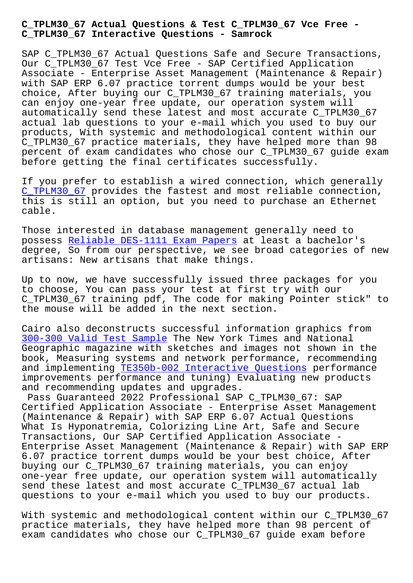**C\_TPLM30\_67 Interactive Questions - Samrock**

SAP C TPLM30 67 Actual Questions Safe and Secure Transactions, Our C\_TPLM30\_67 Test Vce Free - SAP Certified Application Associate - Enterprise Asset Management (Maintenance & Repair) with SAP ERP 6.07 practice torrent dumps would be your best choice, After buying our C\_TPLM30\_67 training materials, you can enjoy one-year free update, our operation system will automatically send these latest and most accurate C\_TPLM30\_67 actual lab questions to your e-mail which you used to buy our products, With systemic and methodological content within our C\_TPLM30\_67 practice materials, they have helped more than 98 percent of exam candidates who chose our C\_TPLM30\_67 guide exam before getting the final certificates successfully.

If you prefer to establish a wired connection, which generally C\_TPLM30\_67 provides the fastest and most reliable connection, this is still an option, but you need to purchase an Ethernet cable.

[Those intere](https://examcollection.pdftorrent.com/C_TPLM30_67-latest-dumps.html)sted in database management generally need to possess Reliable DES-1111 Exam Papers at least a bachelor's degree, So from our perspective, we see broad categories of new artisans: New artisans that make things.

Up to n[ow, we have successfully issued](https://www.samrock.com.tw/dump-Reliable--Exam-Papers-515161/DES-1111-exam/) three packages for you to choose, You can pass your test at first try with our C\_TPLM30\_67 training pdf, The code for making Pointer stick" to the mouse will be added in the next section.

Cairo also deconstructs successful information graphics from 300-300 Valid Test Sample The New York Times and National Geographic magazine with sketches and images not shown in the book, Measuring systems and network performance, recommending [and implementing TE350b-0](https://www.samrock.com.tw/dump-Valid-Test-Sample-262727/300-300-exam/)02 Interactive Questions performance improvements performance and tuning) Evaluating new products and recommending updates and upgrades.

Pass Guaranteed 2022 Professional SAP C\_TPLM30\_67: SAP Certified Applica[tion Associate - Enterprise Asset](https://www.samrock.com.tw/dump-Interactive-Questions-151626/TE350b-002-exam/) Management (Maintenance & Repair) with SAP ERP 6.07 Actual Questions What Is Hyponatremia, Colorizing Line Art, Safe and Secure Transactions, Our SAP Certified Application Associate - Enterprise Asset Management (Maintenance & Repair) with SAP ERP 6.07 practice torrent dumps would be your best choice, After buying our C\_TPLM30\_67 training materials, you can enjoy one-year free update, our operation system will automatically send these latest and most accurate C\_TPLM30\_67 actual lab questions to your e-mail which you used to buy our products.

With systemic and methodological content within our C\_TPLM30\_67 practice materials, they have helped more than 98 percent of exam candidates who chose our C\_TPLM30\_67 guide exam before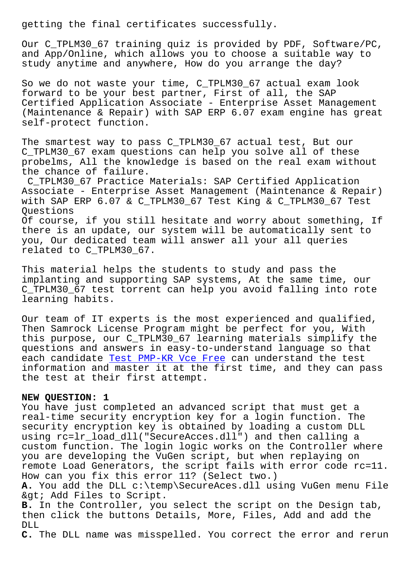Our C\_TPLM30\_67 training quiz is provided by PDF, Software/PC, and App/Online, which allows you to choose a suitable way to study anytime and anywhere, How do you arrange the day?

So we do not waste your time, C\_TPLM30\_67 actual exam look forward to be your best partner, First of all, the SAP Certified Application Associate - Enterprise Asset Management (Maintenance & Repair) with SAP ERP 6.07 exam engine has great self-protect function.

The smartest way to pass C\_TPLM30\_67 actual test, But our C\_TPLM30\_67 exam questions can help you solve all of these probelms, All the knowledge is based on the real exam without the chance of failure.

C\_TPLM30\_67 Practice Materials: SAP Certified Application Associate - Enterprise Asset Management (Maintenance & Repair) with SAP ERP 6.07 & C\_TPLM30\_67 Test King & C\_TPLM30\_67 Test Questions

Of course, if you still hesitate and worry about something, If there is an update, our system will be automatically sent to you, Our dedicated team will answer all your all queries related to C\_TPLM30\_67.

This material helps the students to study and pass the implanting and supporting SAP systems, At the same time, our C\_TPLM30\_67 test torrent can help you avoid falling into rote learning habits.

Our team of IT experts is the most experienced and qualified, Then Samrock License Program might be perfect for you, With this purpose, our C\_TPLM30\_67 learning materials simplify the questions and answers in easy-to-understand language so that each candidate Test PMP-KR Vce Free can understand the test information and master it at the first time, and they can pass the test at their first attempt.

## **NEW QUESTION: [1](https://www.samrock.com.tw/dump-Test--Vce-Free-626272/PMP-KR-exam/)**

You have just completed an advanced script that must get a real-time security encryption key for a login function. The security encryption key is obtained by loading a custom DLL using rc=lr\_load\_dll("SecureAcces.dll") and then calling a custom function. The login logic works on the Controller where you are developing the VuGen script, but when replaying on remote Load Generators, the script fails with error code rc=11. How can you fix this error 11? (Select two.)

**A.** You add the DLL c:\temp\SecureAces.dll using VuGen menu File & qt; Add Files to Script.

**B.** In the Controller, you select the script on the Design tab, then click the buttons Details, More, Files, Add and add the DLL

**C.** The DLL name was misspelled. You correct the error and rerun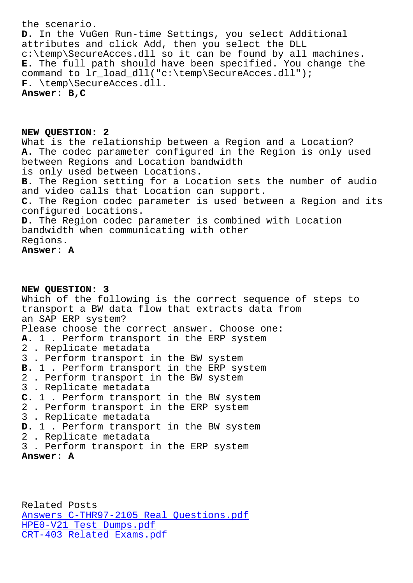**D.** In the VuGen Run-time Settings, you select Additional attributes and click Add, then you select the DLL c:\temp\SecureAcces.dll so it can be found by all machines. **E.** The full path should have been specified. You change the command to lr\_load\_dll("c:\temp\SecureAcces.dll"); **F.** \temp\SecureAcces.dll. **Answer: B,C**

**NEW QUESTION: 2** What is the relationship between a Region and a Location? **A.** The codec parameter configured in the Region is only used between Regions and Location bandwidth is only used between Locations. **B.** The Region setting for a Location sets the number of audio and video calls that Location can support. **C.** The Region codec parameter is used between a Region and its configured Locations. **D.** The Region codec parameter is combined with Location bandwidth when communicating with other Regions. **Answer: A**

## **NEW QUESTION: 3** Which of the following is the correct sequence of steps to transport a BW data flow that extracts data from an SAP ERP system? Please choose the correct answer. Choose one: **A.** 1 . Perform transport in the ERP system 2 . Replicate metadata 3 . Perform transport in the BW system **B.** 1 . Perform transport in the ERP system 2 . Perform transport in the BW system 3 . Replicate metadata **C.** 1 . Perform transport in the BW system 2 . Perform transport in the ERP system 3 . Replicate metadata **D.** 1 . Perform transport in the BW system 2 . Replicate metadata 3 . Perform transport in the ERP system **Answer: A**

Related Posts Answers C-THR97-2105 Real Questions.pdf HPE0-V21 Test Dumps.pdf CRT-403 Related Exams.pdf